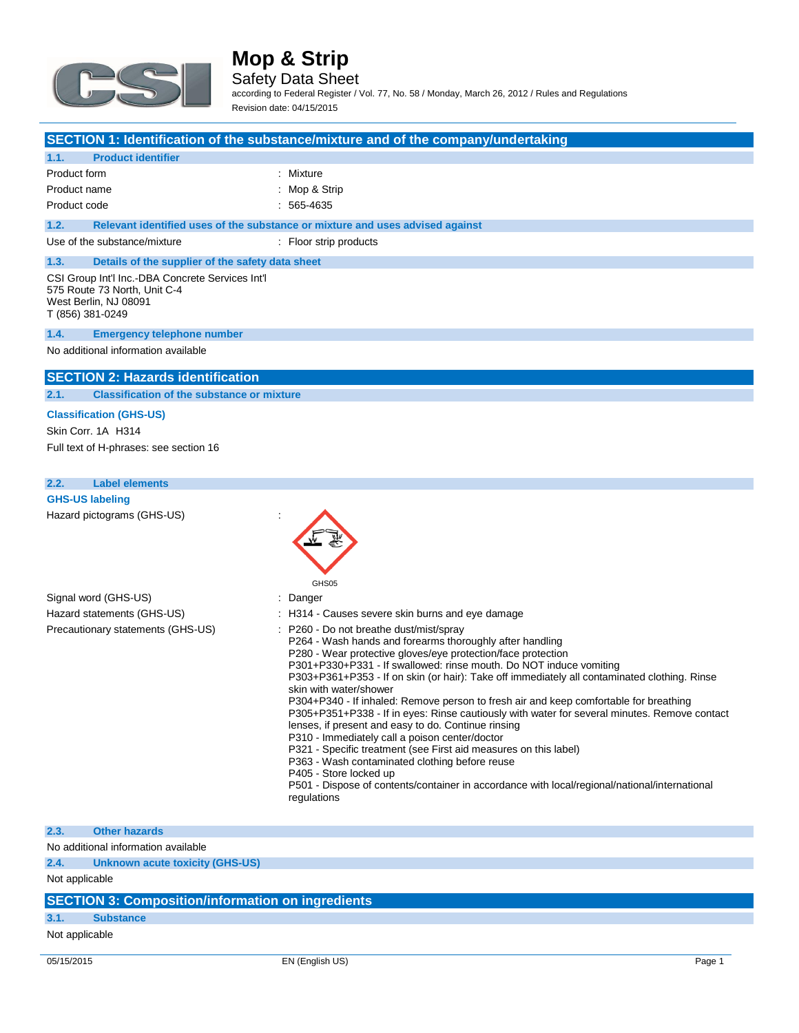

Safety Data Sheet

according to Federal Register / Vol. 77, No. 58 / Monday, March 26, 2012 / Rules and Regulations Revision date: 04/15/2015

| SECTION 1: Identification of the substance/mixture and of the company/undertaking |  |
|-----------------------------------------------------------------------------------|--|
|-----------------------------------------------------------------------------------|--|

| 1.1.<br><b>Product identifier</b>                                                                                             |                                                                               |  |  |  |  |
|-------------------------------------------------------------------------------------------------------------------------------|-------------------------------------------------------------------------------|--|--|--|--|
| Product form                                                                                                                  | : Mixture                                                                     |  |  |  |  |
| Product name                                                                                                                  | : Mop & Strip                                                                 |  |  |  |  |
| Product code                                                                                                                  | $: 565 - 4635$                                                                |  |  |  |  |
| 1.2.                                                                                                                          | Relevant identified uses of the substance or mixture and uses advised against |  |  |  |  |
| Use of the substance/mixture                                                                                                  | : Floor strip products                                                        |  |  |  |  |
| Details of the supplier of the safety data sheet<br>1.3.                                                                      |                                                                               |  |  |  |  |
| CSI Group Int'l Inc.-DBA Concrete Services Int'l<br>575 Route 73 North, Unit C-4<br>West Berlin, NJ 08091<br>T (856) 381-0249 |                                                                               |  |  |  |  |
| <b>Emergency telephone number</b><br>1.4.                                                                                     |                                                                               |  |  |  |  |
| No additional information available                                                                                           |                                                                               |  |  |  |  |

### **SECTION 2: Hazards identification**

**2.1. Classification of the substance or mixture**

#### **Classification (GHS-US)**

Skin Corr. 1A H314 Full text of H-phrases: see section 16

### **2.2. Label elements**

| <b>GHS-US labeling</b>            |                                                                                                                                                                                                                                                                                                                                                                                                                                                                                                                                                                                                                                                                                                                                                                                                                                                                                                                                       |
|-----------------------------------|---------------------------------------------------------------------------------------------------------------------------------------------------------------------------------------------------------------------------------------------------------------------------------------------------------------------------------------------------------------------------------------------------------------------------------------------------------------------------------------------------------------------------------------------------------------------------------------------------------------------------------------------------------------------------------------------------------------------------------------------------------------------------------------------------------------------------------------------------------------------------------------------------------------------------------------|
| Hazard pictograms (GHS-US)        | GHS05                                                                                                                                                                                                                                                                                                                                                                                                                                                                                                                                                                                                                                                                                                                                                                                                                                                                                                                                 |
| Signal word (GHS-US)              | : Danger                                                                                                                                                                                                                                                                                                                                                                                                                                                                                                                                                                                                                                                                                                                                                                                                                                                                                                                              |
| Hazard statements (GHS-US)        | : H314 - Causes severe skin burns and eye damage                                                                                                                                                                                                                                                                                                                                                                                                                                                                                                                                                                                                                                                                                                                                                                                                                                                                                      |
| Precautionary statements (GHS-US) | : P260 - Do not breathe dust/mist/spray<br>P264 - Wash hands and forearms thoroughly after handling<br>P280 - Wear protective gloves/eye protection/face protection<br>P301+P330+P331 - If swallowed: rinse mouth. Do NOT induce vomiting<br>P303+P361+P353 - If on skin (or hair): Take off immediately all contaminated clothing. Rinse<br>skin with water/shower<br>P304+P340 - If inhaled: Remove person to fresh air and keep comfortable for breathing<br>P305+P351+P338 - If in eyes: Rinse cautiously with water for several minutes. Remove contact<br>lenses, if present and easy to do. Continue rinsing<br>P310 - Immediately call a poison center/doctor<br>P321 - Specific treatment (see First aid measures on this label)<br>P363 - Wash contaminated clothing before reuse<br>P405 - Store locked up<br>P501 - Dispose of contents/container in accordance with local/regional/national/international<br>regulations |

#### **2.3. Other hazards**

No additional information available

**2.4. Unknown acute toxicity (GHS-US)**

Not applicable

### **SECTION 3: Composition/information on ingredients**

### **3.1. Substance**

Not applicable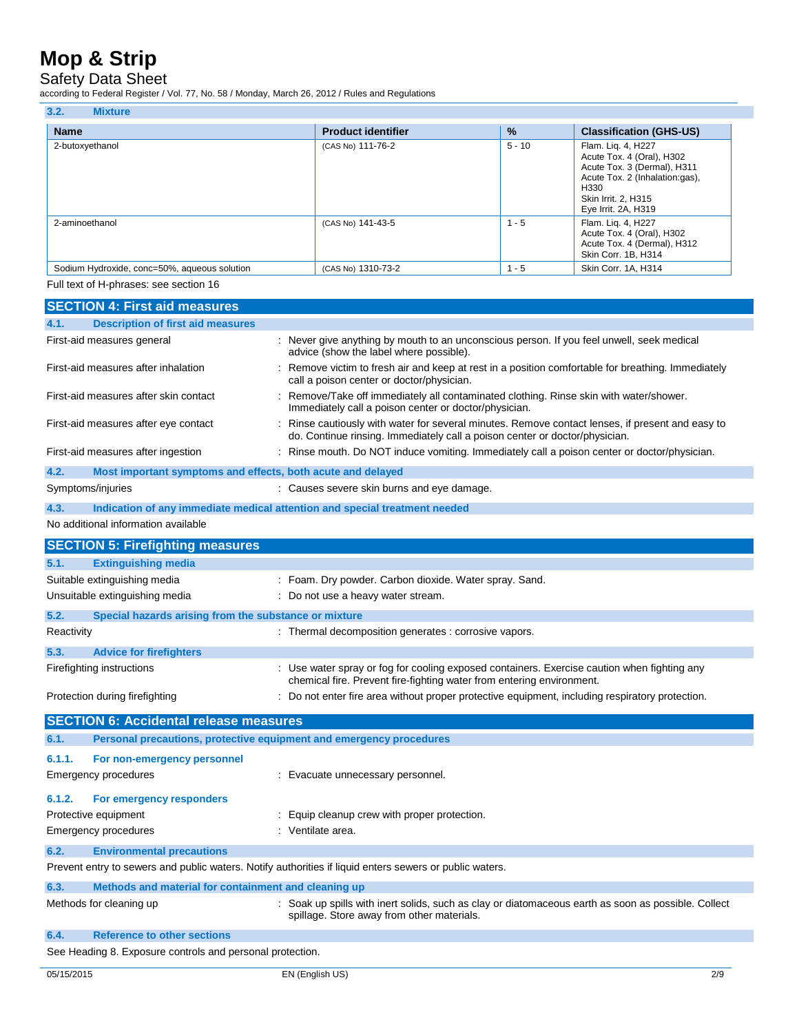## Safety Data Sheet

according to Federal Register / Vol. 77, No. 58 / Monday, March 26, 2012 / Rules and Regulations

| 3.2.<br><b>Mixture</b>                       |                           |               |                                                                                                                                                                        |
|----------------------------------------------|---------------------------|---------------|------------------------------------------------------------------------------------------------------------------------------------------------------------------------|
| <b>Name</b>                                  | <b>Product identifier</b> | $\frac{9}{6}$ | <b>Classification (GHS-US)</b>                                                                                                                                         |
| 2-butoxyethanol                              | (CAS No) 111-76-2         | $5 - 10$      | Flam. Liq. 4, H227<br>Acute Tox. 4 (Oral), H302<br>Acute Tox. 3 (Dermal), H311<br>Acute Tox. 2 (Inhalation:gas),<br>H330<br>Skin Irrit. 2, H315<br>Eye Irrit. 2A, H319 |
| 2-aminoethanol                               | (CAS No) 141-43-5         | $1 - 5$       | Flam. Liq. 4, H227<br>Acute Tox. 4 (Oral), H302<br>Acute Tox. 4 (Dermal), H312<br>Skin Corr. 1B, H314                                                                  |
| Sodium Hydroxide, conc=50%, aqueous solution | (CAS No) 1310-73-2        | $1 - 5$       | Skin Corr. 1A, H314                                                                                                                                                    |

Full text of H-phrases: see section 16

| <b>SECTION 4: First aid measures</b>                                        |                                                                                                                                                                                 |
|-----------------------------------------------------------------------------|---------------------------------------------------------------------------------------------------------------------------------------------------------------------------------|
| <b>Description of first aid measures</b><br>4.1.                            |                                                                                                                                                                                 |
| First-aid measures general                                                  | : Never give anything by mouth to an unconscious person. If you feel unwell, seek medical<br>advice (show the label where possible).                                            |
| First-aid measures after inhalation                                         | Remove victim to fresh air and keep at rest in a position comfortable for breathing. Immediately<br>call a poison center or doctor/physician.                                   |
| First-aid measures after skin contact                                       | : Remove/Take off immediately all contaminated clothing. Rinse skin with water/shower.<br>Immediately call a poison center or doctor/physician.                                 |
| First-aid measures after eye contact                                        | : Rinse cautiously with water for several minutes. Remove contact lenses, if present and easy to<br>do. Continue rinsing. Immediately call a poison center or doctor/physician. |
| First-aid measures after ingestion                                          | : Rinse mouth. Do NOT induce vomiting. Immediately call a poison center or doctor/physician.                                                                                    |
| 4.2.<br>Most important symptoms and effects, both acute and delayed         |                                                                                                                                                                                 |
| Symptoms/injuries                                                           | : Causes severe skin burns and eye damage.                                                                                                                                      |
| 4.3.                                                                        | Indication of any immediate medical attention and special treatment needed                                                                                                      |
| No additional information available                                         |                                                                                                                                                                                 |
| <b>SECTION 5: Firefighting measures</b>                                     |                                                                                                                                                                                 |
| <b>Extinguishing media</b><br>5.1.                                          |                                                                                                                                                                                 |
| Suitable extinguishing media                                                | : Foam. Dry powder. Carbon dioxide. Water spray. Sand.                                                                                                                          |
| Unsuitable extinguishing media                                              | : Do not use a heavy water stream.                                                                                                                                              |
| 5.2.<br>Special hazards arising from the substance or mixture               |                                                                                                                                                                                 |
| Reactivity                                                                  | : Thermal decomposition generates : corrosive vapors.                                                                                                                           |
| 5.3.<br><b>Advice for firefighters</b>                                      |                                                                                                                                                                                 |
| Firefighting instructions                                                   | : Use water spray or fog for cooling exposed containers. Exercise caution when fighting any<br>chemical fire. Prevent fire-fighting water from entering environment.            |
| Protection during firefighting                                              | : Do not enter fire area without proper protective equipment, including respiratory protection.                                                                                 |
| <b>SECTION 6: Accidental release measures</b>                               |                                                                                                                                                                                 |
| Personal precautions, protective equipment and emergency procedures<br>6.1. |                                                                                                                                                                                 |
| 6.1.1.<br>For non-emergency personnel                                       |                                                                                                                                                                                 |
| Emergency procedures                                                        | : Evacuate unnecessary personnel.                                                                                                                                               |
|                                                                             |                                                                                                                                                                                 |
| 6.1.2.<br>For emergency responders                                          |                                                                                                                                                                                 |
| Protective equipment                                                        | : Equip cleanup crew with proper protection.<br>: Ventilate area.                                                                                                               |
| Emergency procedures                                                        |                                                                                                                                                                                 |
| 6.2.<br><b>Environmental precautions</b>                                    |                                                                                                                                                                                 |
|                                                                             | Prevent entry to sewers and public waters. Notify authorities if liquid enters sewers or public waters.                                                                         |
| 6.3.<br>Methods and material for containment and cleaning up                |                                                                                                                                                                                 |
| Methods for cleaning up                                                     | : Soak up spills with inert solids, such as clay or diatomaceous earth as soon as possible. Collect<br>spillage. Store away from other materials.                               |
| 6.4.<br><b>Reference to other sections</b>                                  |                                                                                                                                                                                 |
| See Heading 8. Exposure controls and personal protection.                   |                                                                                                                                                                                 |
| 05/15/2015                                                                  | EN (English US)<br>2/9                                                                                                                                                          |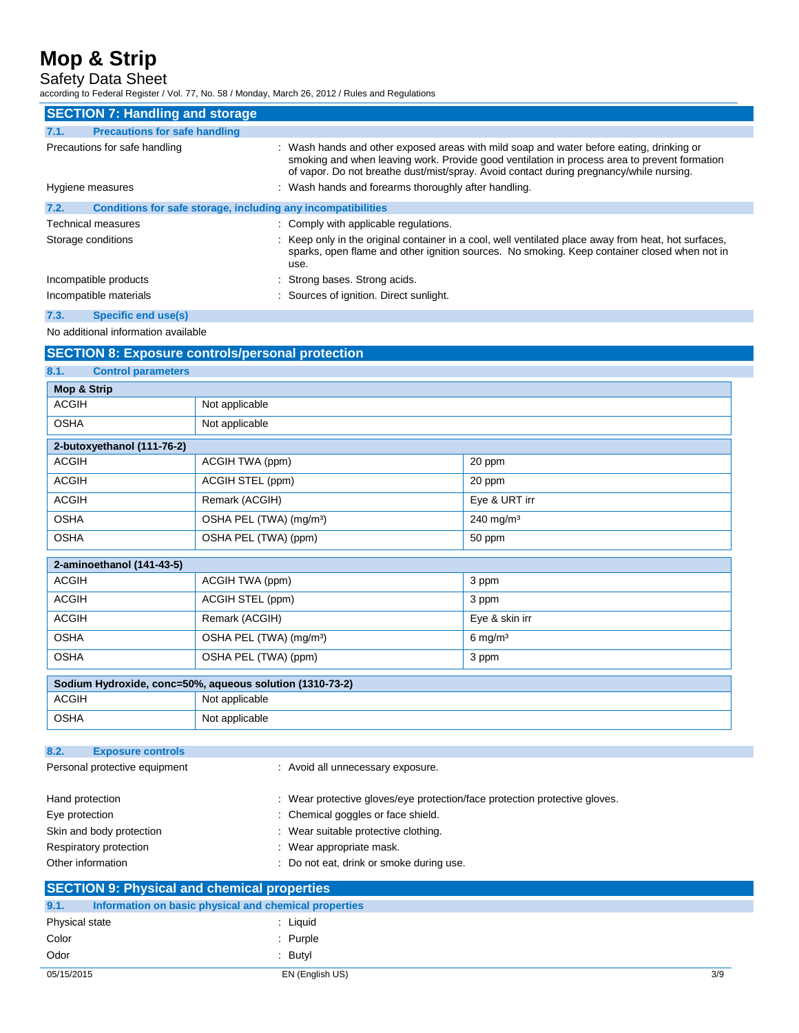Safety Data Sheet

according to Federal Register / Vol. 77, No. 58 / Monday, March 26, 2012 / Rules and Regulations

| <b>SECTION 7: Handling and storage</b>                               |                                                                                                                                                                                                                                                                                     |  |  |  |
|----------------------------------------------------------------------|-------------------------------------------------------------------------------------------------------------------------------------------------------------------------------------------------------------------------------------------------------------------------------------|--|--|--|
| <b>Precautions for safe handling</b><br>7.1.                         |                                                                                                                                                                                                                                                                                     |  |  |  |
| Precautions for safe handling                                        | : Wash hands and other exposed areas with mild soap and water before eating, drinking or<br>smoking and when leaving work. Provide good ventilation in process area to prevent formation<br>of vapor. Do not breathe dust/mist/spray. Avoid contact during pregnancy/while nursing. |  |  |  |
| Hygiene measures                                                     | : Wash hands and forearms thoroughly after handling.                                                                                                                                                                                                                                |  |  |  |
| Conditions for safe storage, including any incompatibilities<br>7.2. |                                                                                                                                                                                                                                                                                     |  |  |  |
| <b>Technical measures</b>                                            | : Comply with applicable regulations.                                                                                                                                                                                                                                               |  |  |  |
| Storage conditions                                                   | : Keep only in the original container in a cool, well ventilated place away from heat, hot surfaces,<br>sparks, open flame and other ignition sources. No smoking. Keep container closed when not in<br>use.                                                                        |  |  |  |
| Incompatible products                                                | : Strong bases. Strong acids.                                                                                                                                                                                                                                                       |  |  |  |
| Incompatible materials                                               | : Sources of ignition. Direct sunlight.                                                                                                                                                                                                                                             |  |  |  |

### **7.3. Specific end use(s)**

No additional information available

|                                                                                                                                                                                                                                                                                                                                                  | <b>SECTION 8: Exposure controls/personal protection</b>  |                       |  |  |  |
|--------------------------------------------------------------------------------------------------------------------------------------------------------------------------------------------------------------------------------------------------------------------------------------------------------------------------------------------------|----------------------------------------------------------|-----------------------|--|--|--|
| 8.1.<br><b>Control parameters</b>                                                                                                                                                                                                                                                                                                                |                                                          |                       |  |  |  |
| Mop & Strip                                                                                                                                                                                                                                                                                                                                      |                                                          |                       |  |  |  |
| <b>ACGIH</b>                                                                                                                                                                                                                                                                                                                                     | Not applicable                                           |                       |  |  |  |
| <b>OSHA</b>                                                                                                                                                                                                                                                                                                                                      | Not applicable                                           |                       |  |  |  |
| 2-butoxyethanol (111-76-2)                                                                                                                                                                                                                                                                                                                       |                                                          |                       |  |  |  |
| <b>ACGIH</b>                                                                                                                                                                                                                                                                                                                                     | ACGIH TWA (ppm)                                          | 20 ppm                |  |  |  |
| <b>ACGIH</b>                                                                                                                                                                                                                                                                                                                                     | ACGIH STEL (ppm)                                         | 20 ppm                |  |  |  |
| <b>ACGIH</b>                                                                                                                                                                                                                                                                                                                                     | Remark (ACGIH)                                           | Eye & URT irr         |  |  |  |
| <b>OSHA</b>                                                                                                                                                                                                                                                                                                                                      | OSHA PEL (TWA) (mg/m <sup>3</sup> )                      | 240 mg/m $3$          |  |  |  |
| <b>OSHA</b>                                                                                                                                                                                                                                                                                                                                      | OSHA PEL (TWA) (ppm)                                     | 50 ppm                |  |  |  |
| 2-aminoethanol (141-43-5)                                                                                                                                                                                                                                                                                                                        |                                                          |                       |  |  |  |
| <b>ACGIH</b>                                                                                                                                                                                                                                                                                                                                     | ACGIH TWA (ppm)                                          | 3 ppm                 |  |  |  |
| <b>ACGIH</b>                                                                                                                                                                                                                                                                                                                                     | ACGIH STEL (ppm)                                         | 3 ppm                 |  |  |  |
| <b>ACGIH</b>                                                                                                                                                                                                                                                                                                                                     | Remark (ACGIH)                                           | Eye & skin irr        |  |  |  |
| <b>OSHA</b>                                                                                                                                                                                                                                                                                                                                      | OSHA PEL (TWA) (mg/m <sup>3</sup> )                      | $6$ mg/m <sup>3</sup> |  |  |  |
| <b>OSHA</b>                                                                                                                                                                                                                                                                                                                                      | OSHA PEL (TWA) (ppm)                                     | 3 ppm                 |  |  |  |
|                                                                                                                                                                                                                                                                                                                                                  | Sodium Hydroxide, conc=50%, aqueous solution (1310-73-2) |                       |  |  |  |
| <b>ACGIH</b><br>Not applicable                                                                                                                                                                                                                                                                                                                   |                                                          |                       |  |  |  |
| <b>OSHA</b>                                                                                                                                                                                                                                                                                                                                      | Not applicable                                           |                       |  |  |  |
| 8.2.<br><b>Exposure controls</b>                                                                                                                                                                                                                                                                                                                 |                                                          |                       |  |  |  |
| Personal protective equipment                                                                                                                                                                                                                                                                                                                    | : Avoid all unnecessary exposure.                        |                       |  |  |  |
| : Wear protective gloves/eye protection/face protection protective gloves.<br>Hand protection<br>: Chemical goggles or face shield.<br>Eye protection<br>Skin and body protection<br>: Wear suitable protective clothing.<br>: Wear appropriate mask.<br>Respiratory protection<br>Other information<br>: Do not eat, drink or smoke during use. |                                                          |                       |  |  |  |
| <b>SECTION 9: Physical and chemical properties</b>                                                                                                                                                                                                                                                                                               |                                                          |                       |  |  |  |
| 9.1.                                                                                                                                                                                                                                                                                                                                             | Information on basic physical and chemical properties    |                       |  |  |  |
| Physical state                                                                                                                                                                                                                                                                                                                                   | : Liquid                                                 |                       |  |  |  |
| Color                                                                                                                                                                                                                                                                                                                                            | : Purple                                                 |                       |  |  |  |
| Odor                                                                                                                                                                                                                                                                                                                                             | : Butyl                                                  |                       |  |  |  |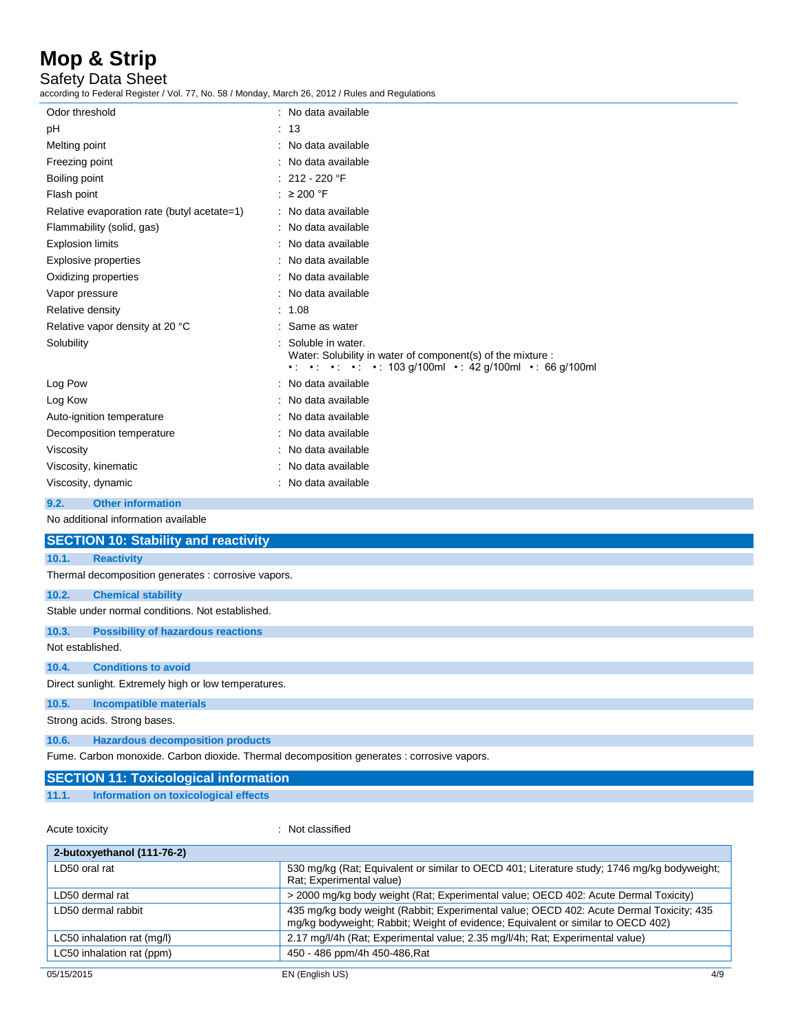Safety Data Sheet

according to Federal Register / Vol. 77, No. 58 / Monday, March 26, 2012 / Rules and Regulations

| Odor threshold                              | No data available                                                                                                                                                                             |
|---------------------------------------------|-----------------------------------------------------------------------------------------------------------------------------------------------------------------------------------------------|
| pH                                          | - 13                                                                                                                                                                                          |
| Melting point                               | No data available                                                                                                                                                                             |
| Freezing point                              | No data available                                                                                                                                                                             |
| Boiling point                               | 212 - 220 °F                                                                                                                                                                                  |
| Flash point                                 | : $\geq 200$ °F                                                                                                                                                                               |
| Relative evaporation rate (butyl acetate=1) | : No data available                                                                                                                                                                           |
| Flammability (solid, gas)                   | No data available                                                                                                                                                                             |
| <b>Explosion limits</b>                     | No data available                                                                                                                                                                             |
| <b>Explosive properties</b>                 | No data available                                                                                                                                                                             |
| Oxidizing properties                        | No data available                                                                                                                                                                             |
| Vapor pressure                              | No data available                                                                                                                                                                             |
| Relative density                            | 1.08                                                                                                                                                                                          |
| Relative vapor density at 20 °C             | Same as water                                                                                                                                                                                 |
| Solubility                                  | Soluble in water.<br>Water: Solubility in water of component(s) of the mixture :<br>$\cdot$ $\cdot$ $\cdot$ $\cdot$ $\cdot$ $\cdot$ $\cdot$ 103 g/100ml $\cdot$ 42 g/100ml $\cdot$ 66 g/100ml |
| Log Pow                                     | : No data available                                                                                                                                                                           |
| Log Kow                                     | No data available                                                                                                                                                                             |
| Auto-ignition temperature                   | No data available                                                                                                                                                                             |
| Decomposition temperature                   | No data available                                                                                                                                                                             |
| Viscosity                                   | No data available                                                                                                                                                                             |
| Viscosity, kinematic                        | No data available                                                                                                                                                                             |
| Viscosity, dynamic                          | No data available                                                                                                                                                                             |
| <b>Other information</b><br>9.2.            |                                                                                                                                                                                               |
| No additional information available         |                                                                                                                                                                                               |

|  | <b>SECTION 10: Stability and reactivity</b> |  |  |  |  |  |  |  |  |  |  |  |  |
|--|---------------------------------------------|--|--|--|--|--|--|--|--|--|--|--|--|
|  |                                             |  |  |  |  |  |  |  |  |  |  |  |  |

### **10.1. Reactivity**

Thermal decomposition generates : corrosive vapors.

### **10.2. Chemical stability**

Stable under normal conditions. Not established.

**10.3. Possibility of hazardous reactions**

Not established.

#### **10.4. Conditions to avoid**

Direct sunlight. Extremely high or low temperatures.

**10.5. Incompatible materials**

Strong acids. Strong bases.

#### **10.6. Hazardous decomposition products**

Fume. Carbon monoxide. Carbon dioxide. Thermal decomposition generates : corrosive vapors.

|       | <b>SECTION 11: Toxicological information</b> |  |
|-------|----------------------------------------------|--|
| 11.1. | Information on toxicological effects         |  |

Acute toxicity in the contract of the classified in the classified in the classified in the classified in the contract of the contract of the contract of the contract of the contract of the contract of the contract of the

| 530 mg/kg (Rat; Equivalent or similar to OECD 401; Literature study; 1746 mg/kg bodyweight;<br>Rat: Experimental value)                                                     |
|-----------------------------------------------------------------------------------------------------------------------------------------------------------------------------|
| > 2000 mg/kg body weight (Rat; Experimental value; OECD 402: Acute Dermal Toxicity)                                                                                         |
| 435 mg/kg body weight (Rabbit; Experimental value; OECD 402: Acute Dermal Toxicity; 435<br>mg/kg bodyweight; Rabbit; Weight of evidence; Equivalent or similar to OECD 402) |
| 2.17 mg/l/4h (Rat; Experimental value; 2.35 mg/l/4h; Rat; Experimental value)                                                                                               |
| 450 - 486 ppm/4h 450-486, Rat                                                                                                                                               |
|                                                                                                                                                                             |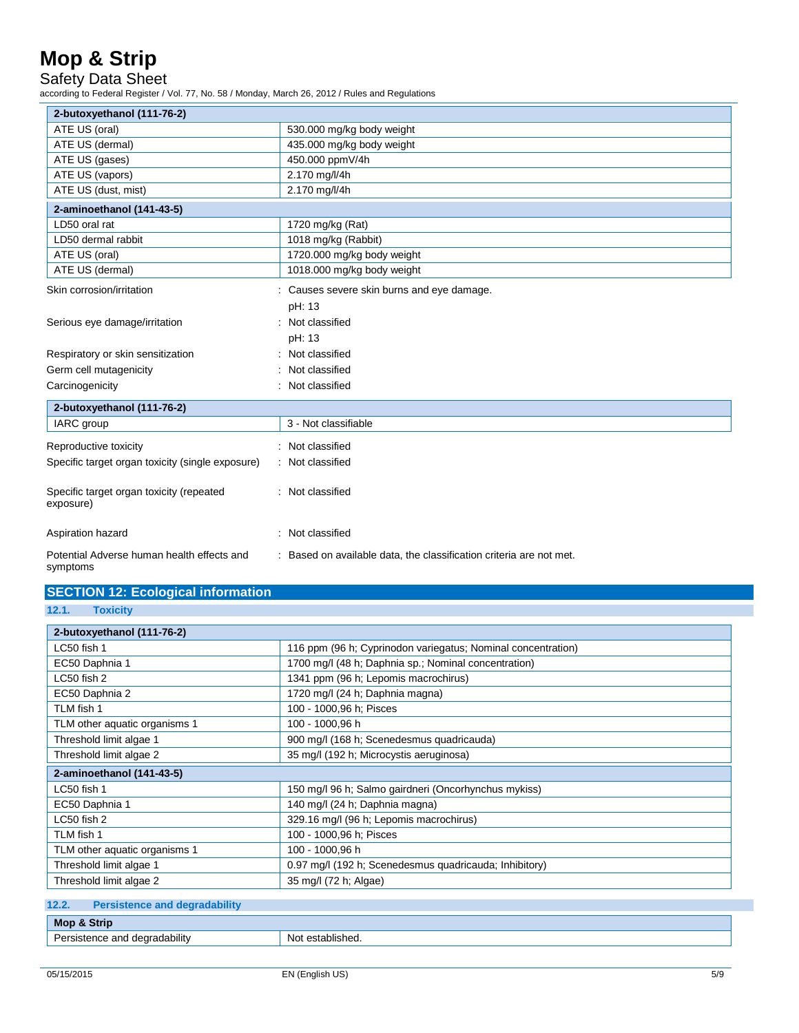Safety Data Sheet

according to Federal Register / Vol. 77, No. 58 / Monday, March 26, 2012 / Rules and Regulations

| 2-butoxyethanol (111-76-2)                                 |                                                                                  |
|------------------------------------------------------------|----------------------------------------------------------------------------------|
| ATE US (oral)                                              | 530.000 mg/kg body weight                                                        |
| ATE US (dermal)                                            | 435.000 mg/kg body weight                                                        |
| ATE US (gases)                                             | 450.000 ppmV/4h                                                                  |
| ATE US (vapors)                                            | 2.170 mg/l/4h                                                                    |
| ATE US (dust, mist)                                        | 2.170 mg/l/4h                                                                    |
| 2-aminoethanol (141-43-5)                                  |                                                                                  |
| LD50 oral rat                                              | 1720 mg/kg (Rat)                                                                 |
| LD50 dermal rabbit                                         | 1018 mg/kg (Rabbit)                                                              |
| ATE US (oral)                                              | 1720.000 mg/kg body weight                                                       |
| ATE US (dermal)                                            | 1018.000 mg/kg body weight                                                       |
| Skin corrosion/irritation<br>Serious eye damage/irritation | : Causes severe skin burns and eye damage.<br>pH: 13<br>Not classified<br>pH: 13 |
| Respiratory or skin sensitization                          | Not classified                                                                   |
| Germ cell mutagenicity                                     | Not classified                                                                   |
| Carcinogenicity                                            | Not classified                                                                   |
| 2-butoxyethanol (111-76-2)                                 |                                                                                  |
| IARC group                                                 | 3 - Not classifiable                                                             |
| Reproductive toxicity                                      | : Not classified                                                                 |
| Specific target organ toxicity (single exposure)           | Not classified                                                                   |
| Specific target organ toxicity (repeated<br>exposure)      | : Not classified                                                                 |
| Aspiration hazard                                          | Not classified                                                                   |
| Potential Adverse human health effects and<br>symptoms     | : Based on available data, the classification criteria are not met.              |

| <b>SECTION 12: Ecological information</b> |  |
|-------------------------------------------|--|
|-------------------------------------------|--|

**12.1. Toxicity**

| 2-butoxyethanol (111-76-2)    |                                                              |
|-------------------------------|--------------------------------------------------------------|
| LC50 fish 1                   | 116 ppm (96 h; Cyprinodon variegatus; Nominal concentration) |
| EC50 Daphnia 1                | 1700 mg/l (48 h; Daphnia sp.; Nominal concentration)         |
| LC50 fish 2                   | 1341 ppm (96 h; Lepomis macrochirus)                         |
| EC50 Daphnia 2                | 1720 mg/l (24 h; Daphnia magna)                              |
| TLM fish 1                    | 100 - 1000,96 h; Pisces                                      |
| TLM other aquatic organisms 1 | 100 - 1000,96 h                                              |
| Threshold limit algae 1       | 900 mg/l (168 h; Scenedesmus quadricauda)                    |
| Threshold limit algae 2       | 35 mg/l (192 h; Microcystis aeruginosa)                      |
| 2-aminoethanol (141-43-5)     |                                                              |
| $LC50$ fish 1                 | 150 mg/l 96 h; Salmo gairdneri (Oncorhynchus mykiss)         |
| EC50 Daphnia 1                | 140 mg/l (24 h; Daphnia magna)                               |
| LC50 fish 2                   | 329.16 mg/l (96 h; Lepomis macrochirus)                      |
| TLM fish 1                    | 100 - 1000,96 h; Pisces                                      |
| TLM other aquatic organisms 1 | 100 - 1000,96 h                                              |
| Threshold limit algae 1       | 0.97 mg/l (192 h; Scenedesmus quadricauda; Inhibitory)       |
| Threshold limit algae 2       | 35 mg/l (72 h; Algae)                                        |

| 12.2. | <b>Persistence and degradability</b> |                  |
|-------|--------------------------------------|------------------|
|       | Mop & Strip                          |                  |
|       | Persistence and degradability        | Not established. |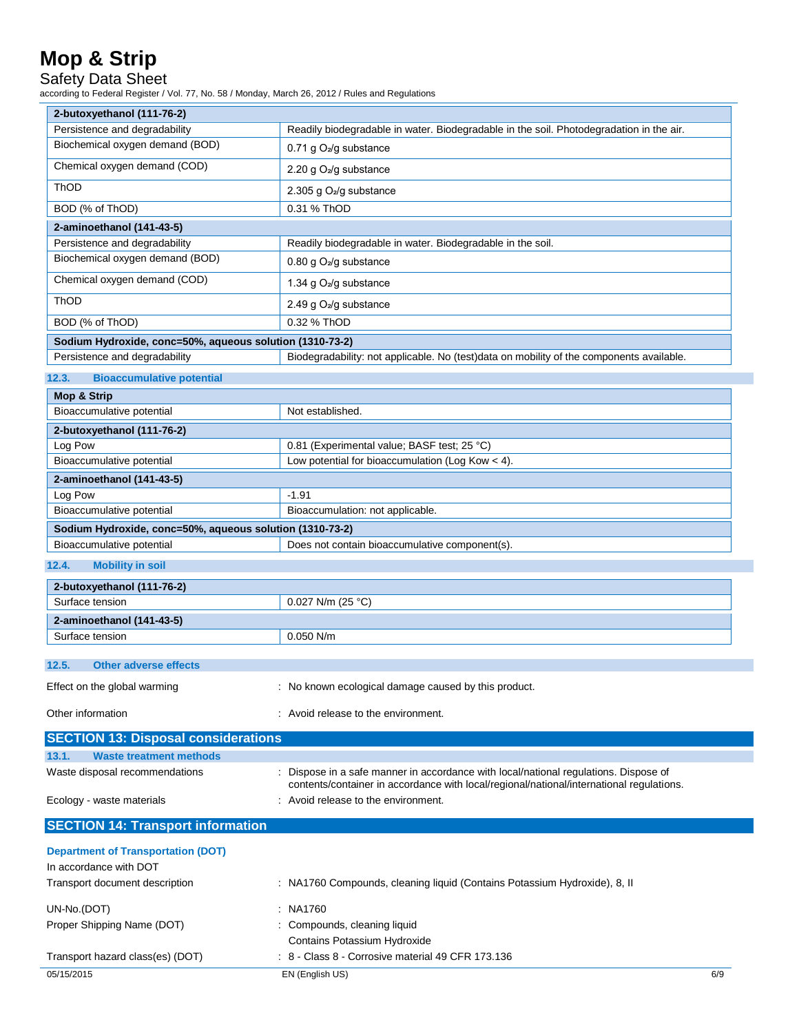### Safety Data Sheet

according to Federal Register / Vol. 77, No. 58 / Monday, March 26, 2012 / Rules and Regulations

| coluing to Federal Register / Vol. 77, No. 36 / Monday, March 26, 2012 / Rules and Regulations |                                                                                                                                                                                  |  |  |
|------------------------------------------------------------------------------------------------|----------------------------------------------------------------------------------------------------------------------------------------------------------------------------------|--|--|
| 2-butoxyethanol (111-76-2)<br>Persistence and degradability                                    |                                                                                                                                                                                  |  |  |
| Biochemical oxygen demand (BOD)                                                                | Readily biodegradable in water. Biodegradable in the soil. Photodegradation in the air.                                                                                          |  |  |
|                                                                                                | 0.71 g $O_2$ /g substance                                                                                                                                                        |  |  |
| Chemical oxygen demand (COD)                                                                   | 2.20 g O <sub>2</sub> /g substance                                                                                                                                               |  |  |
| ThOD                                                                                           | 2.305 g O <sub>2</sub> /g substance                                                                                                                                              |  |  |
| BOD (% of ThOD)                                                                                | 0.31 % ThOD                                                                                                                                                                      |  |  |
| 2-aminoethanol (141-43-5)                                                                      |                                                                                                                                                                                  |  |  |
| Persistence and degradability                                                                  | Readily biodegradable in water. Biodegradable in the soil.                                                                                                                       |  |  |
| Biochemical oxygen demand (BOD)                                                                | 0.80 g O <sub>2</sub> /g substance                                                                                                                                               |  |  |
| Chemical oxygen demand (COD)                                                                   | 1.34 g O <sub>2</sub> /g substance                                                                                                                                               |  |  |
| ThOD                                                                                           | 2.49 g O <sub>2</sub> /g substance                                                                                                                                               |  |  |
| BOD (% of ThOD)                                                                                | 0.32 % ThOD                                                                                                                                                                      |  |  |
| Sodium Hydroxide, conc=50%, aqueous solution (1310-73-2)                                       |                                                                                                                                                                                  |  |  |
| Persistence and degradability                                                                  | Biodegradability: not applicable. No (test)data on mobility of the components available.                                                                                         |  |  |
| 12.3.<br><b>Bioaccumulative potential</b>                                                      |                                                                                                                                                                                  |  |  |
| <b>Mop &amp; Strip</b>                                                                         |                                                                                                                                                                                  |  |  |
| Bioaccumulative potential                                                                      | Not established.                                                                                                                                                                 |  |  |
| 2-butoxyethanol (111-76-2)                                                                     |                                                                                                                                                                                  |  |  |
| Log Pow                                                                                        | 0.81 (Experimental value; BASF test; 25 °C)                                                                                                                                      |  |  |
| Bioaccumulative potential                                                                      | Low potential for bioaccumulation (Log Kow $<$ 4).                                                                                                                               |  |  |
| 2-aminoethanol (141-43-5)                                                                      |                                                                                                                                                                                  |  |  |
| Log Pow                                                                                        | $-1.91$                                                                                                                                                                          |  |  |
| Bioaccumulative potential                                                                      | Bioaccumulation: not applicable.                                                                                                                                                 |  |  |
| Sodium Hydroxide, conc=50%, aqueous solution (1310-73-2)                                       |                                                                                                                                                                                  |  |  |
| Bioaccumulative potential                                                                      | Does not contain bioaccumulative component(s).                                                                                                                                   |  |  |
| <b>Mobility in soil</b><br>12.4.                                                               |                                                                                                                                                                                  |  |  |
| 2-butoxyethanol (111-76-2)                                                                     |                                                                                                                                                                                  |  |  |
| Surface tension                                                                                | 0.027 N/m (25 °C)                                                                                                                                                                |  |  |
| 2-aminoethanol (141-43-5)                                                                      |                                                                                                                                                                                  |  |  |
| Surface tension                                                                                | $0.050$ N/m                                                                                                                                                                      |  |  |
| 12.5.<br><b>Other adverse effects</b>                                                          |                                                                                                                                                                                  |  |  |
| Effect on the global warming                                                                   | : No known ecological damage caused by this product.                                                                                                                             |  |  |
| Other information<br>: Avoid release to the environment.                                       |                                                                                                                                                                                  |  |  |
|                                                                                                |                                                                                                                                                                                  |  |  |
| <b>SECTION 13: Disposal considerations</b>                                                     |                                                                                                                                                                                  |  |  |
| 13.1.<br><b>Waste treatment methods</b>                                                        |                                                                                                                                                                                  |  |  |
| Waste disposal recommendations                                                                 | : Dispose in a safe manner in accordance with local/national regulations. Dispose of<br>contents/container in accordance with local/regional/national/international regulations. |  |  |
| Ecology - waste materials                                                                      | : Avoid release to the environment.                                                                                                                                              |  |  |
| <b>SECTION 14: Transport information</b>                                                       |                                                                                                                                                                                  |  |  |
| <b>Department of Transportation (DOT)</b>                                                      |                                                                                                                                                                                  |  |  |

| In accordance with DOT           |                                                                           |     |  |
|----------------------------------|---------------------------------------------------------------------------|-----|--|
| Transport document description   | : NA1760 Compounds, cleaning liquid (Contains Potassium Hydroxide), 8, II |     |  |
| UN-No.(DOT)                      | : NA1760                                                                  |     |  |
| Proper Shipping Name (DOT)       | : Compounds, cleaning liquid                                              |     |  |
|                                  | Contains Potassium Hydroxide                                              |     |  |
| Transport hazard class(es) (DOT) | $\div$ 8 - Class 8 - Corrosive material 49 CFR 173.136                    |     |  |
| 05/15/2015                       | EN (English US)                                                           | 6/9 |  |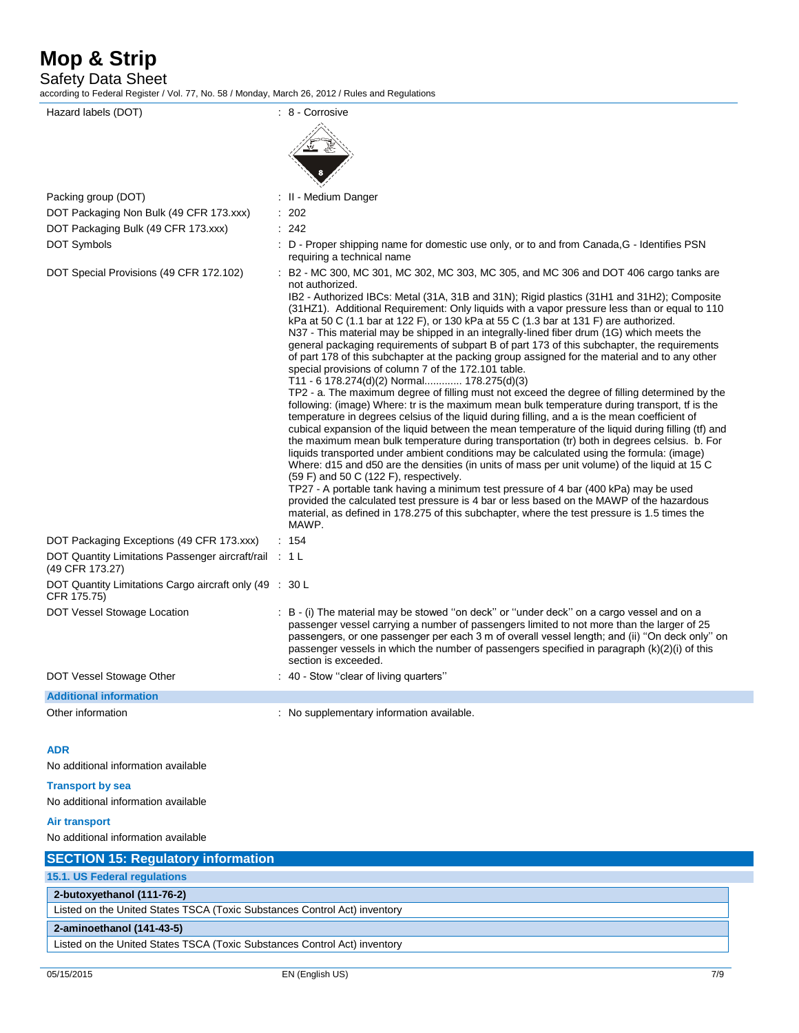Safety Data Sheet

according to Federal Register / Vol. 77, No. 58 / Monday, March 26, 2012 / Rules and Regulations

Hazard labels (DOT)  $\qquad \qquad$  : 8 - Corrosive Packing group (DOT) **in the case of the Contract Contract Contract Contract Contract Contract Contract Contract Contract Contract Contract Contract Contract Contract Contract Contract Contract Contract Contract Contract Co** DOT Packaging Non Bulk (49 CFR 173.xxx) : 202 DOT Packaging Bulk (49 CFR 173.xxx) : 242 DOT Symbols **EXECUTE:** D - Proper shipping name for domestic use only, or to and from Canada, G - Identifies PSN requiring a technical name DOT Special Provisions (49 CFR 172.102) : B2 - MC 300, MC 301, MC 302, MC 303, MC 305, and MC 306 and DOT 406 cargo tanks are not authorized. IB2 - Authorized IBCs: Metal (31A, 31B and 31N); Rigid plastics (31H1 and 31H2); Composite (31HZ1). Additional Requirement: Only liquids with a vapor pressure less than or equal to 110 kPa at 50 C (1.1 bar at 122 F), or 130 kPa at 55 C (1.3 bar at 131 F) are authorized. N37 - This material may be shipped in an integrally-lined fiber drum (1G) which meets the general packaging requirements of subpart B of part 173 of this subchapter, the requirements of part 178 of this subchapter at the packing group assigned for the material and to any other special provisions of column 7 of the 172.101 table. T11 - 6 178.274(d)(2) Normal............. 178.275(d)(3) TP2 - a. The maximum degree of filling must not exceed the degree of filling determined by the following: (image) Where: tr is the maximum mean bulk temperature during transport, tf is the temperature in degrees celsius of the liquid during filling, and a is the mean coefficient of cubical expansion of the liquid between the mean temperature of the liquid during filling (tf) and the maximum mean bulk temperature during transportation (tr) both in degrees celsius. b. For liquids transported under ambient conditions may be calculated using the formula: (image) Where: d15 and d50 are the densities (in units of mass per unit volume) of the liquid at 15 C (59 F) and 50 C (122 F), respectively. TP27 - A portable tank having a minimum test pressure of 4 bar (400 kPa) may be used provided the calculated test pressure is 4 bar or less based on the MAWP of the hazardous material, as defined in 178.275 of this subchapter, where the test pressure is 1.5 times the MAWP. DOT Packaging Exceptions (49 CFR 173.xxx) : 154 DOT Quantity Limitations Passenger aircraft/rail : 1 L (49 CFR 173.27) DOT Quantity Limitations Cargo aircraft only (49 : 30 L CFR 175.75) DOT Vessel Stowage Location : B - (i) The material may be stowed "on deck" or "under deck" on a cargo vessel and on a passenger vessel carrying a number of passengers limited to not more than the larger of 25 passengers, or one passenger per each 3 m of overall vessel length; and (ii) ''On deck only'' on passenger vessels in which the number of passengers specified in paragraph (k)(2)(i) of this section is exceeded. DOT Vessel Stowage Other : 40 - Stow "clear of living quarters" **Additional information** Other information **intervalse in the contract of the Contract Studies** : No supplementary information available. **ADR** No additional information available

#### **Transport by sea**

No additional information available

#### **Air transport**

No additional information available

| <b>SECTION 15: Regulatory information</b>                                 |
|---------------------------------------------------------------------------|
|                                                                           |
| 15.1. US Federal regulations                                              |
| 2-butoxyethanol (111-76-2)                                                |
| Listed on the United States TSCA (Toxic Substances Control Act) inventory |
| 2-aminoethanol (141-43-5)                                                 |
| Listed on the United States TSCA (Toxic Substances Control Act) inventory |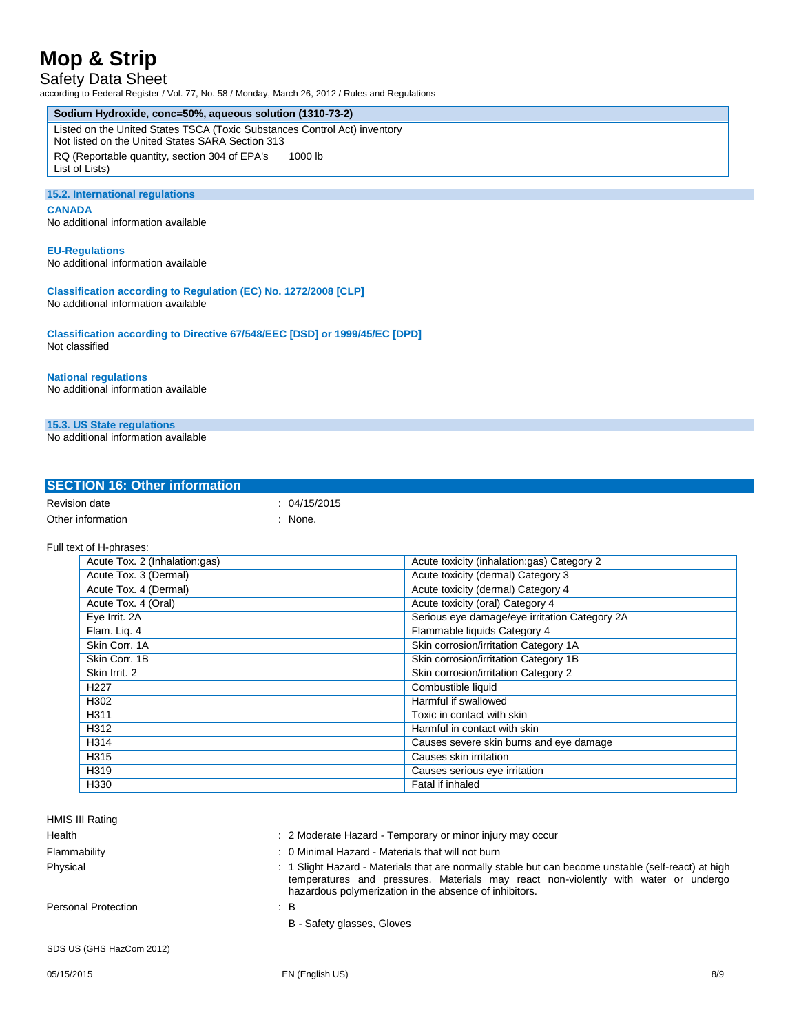### Safety Data Sheet

L.

| ccording to Federal Register / Vol. 77, No. 58 / Monday, March 26, 2012 / Rules and Regulations                               |              |                                               |
|-------------------------------------------------------------------------------------------------------------------------------|--------------|-----------------------------------------------|
| Sodium Hydroxide, conc=50%, aqueous solution (1310-73-2)                                                                      |              |                                               |
| Listed on the United States TSCA (Toxic Substances Control Act) inventory<br>Not listed on the United States SARA Section 313 |              |                                               |
| RQ (Reportable quantity, section 304 of EPA's<br>List of Lists)                                                               | 1000 lb      |                                               |
|                                                                                                                               |              |                                               |
| 15.2. International regulations                                                                                               |              |                                               |
| <b>CANADA</b><br>No additional information available                                                                          |              |                                               |
| <b>EU-Regulations</b><br>No additional information available                                                                  |              |                                               |
| Classification according to Regulation (EC) No. 1272/2008 [CLP]<br>No additional information available                        |              |                                               |
| Classification according to Directive 67/548/EEC [DSD] or 1999/45/EC [DPD]<br>Not classified                                  |              |                                               |
| <b>National regulations</b><br>No additional information available                                                            |              |                                               |
| 15.3. US State regulations                                                                                                    |              |                                               |
| No additional information available                                                                                           |              |                                               |
|                                                                                                                               |              |                                               |
| <b>SECTION 16: Other information</b>                                                                                          |              |                                               |
| Revision date                                                                                                                 | : 04/15/2015 |                                               |
| Other information                                                                                                             | : None.      |                                               |
| Full text of H-phrases:                                                                                                       |              |                                               |
| Acute Tox. 2 (Inhalation:gas)                                                                                                 |              | Acute toxicity (inhalation:gas) Category 2    |
| Acute Tox. 3 (Dermal)                                                                                                         |              | Acute toxicity (dermal) Category 3            |
| Acute Tox. 4 (Dermal)                                                                                                         |              | Acute toxicity (dermal) Category 4            |
| Acute Tox. 4 (Oral)                                                                                                           |              | Acute toxicity (oral) Category 4              |
| Eye Irrit. 2A                                                                                                                 |              | Serious eye damage/eye irritation Category 2A |
| Flam. Lig. 4                                                                                                                  |              | Flammable liquids Category 4                  |
| Skin Corr. 1A                                                                                                                 |              | Skin corrosion/irritation Category 1A         |
| Skin Corr. 1B                                                                                                                 |              | Skin corrosion/irritation Category 1B         |

| HMIS III Rating            |                                                                                                                                                                                                                                                      |
|----------------------------|------------------------------------------------------------------------------------------------------------------------------------------------------------------------------------------------------------------------------------------------------|
| Health                     | : 2 Moderate Hazard - Temporary or minor injury may occur                                                                                                                                                                                            |
| Flammability               | : 0 Minimal Hazard - Materials that will not burn                                                                                                                                                                                                    |
| Physical                   | : 1 Slight Hazard - Materials that are normally stable but can become unstable (self-react) at high<br>temperatures and pressures. Materials may react non-violently with water or undergo<br>hazardous polymerization in the absence of inhibitors. |
| <b>Personal Protection</b> | : B                                                                                                                                                                                                                                                  |
|                            | B - Safety glasses, Gloves                                                                                                                                                                                                                           |
| SDS US (GHS HazCom 2012)   |                                                                                                                                                                                                                                                      |
| 05/15/2015                 | 8/9<br>EN (English US)                                                                                                                                                                                                                               |

Toxic in contact with skin

------ Skin Irrit. 2 Skin corrosion/irritation Category 2

------ H314 Causes severe skin burns and eye damage

H312 Harmful in contact with skin

------ H227 Combustible liquid ------ H302 Harmful if swallowed

------ H315 Causes skin irritation ------ H319 Causes serious eye irritation

H330 **Fatal if inhaled**